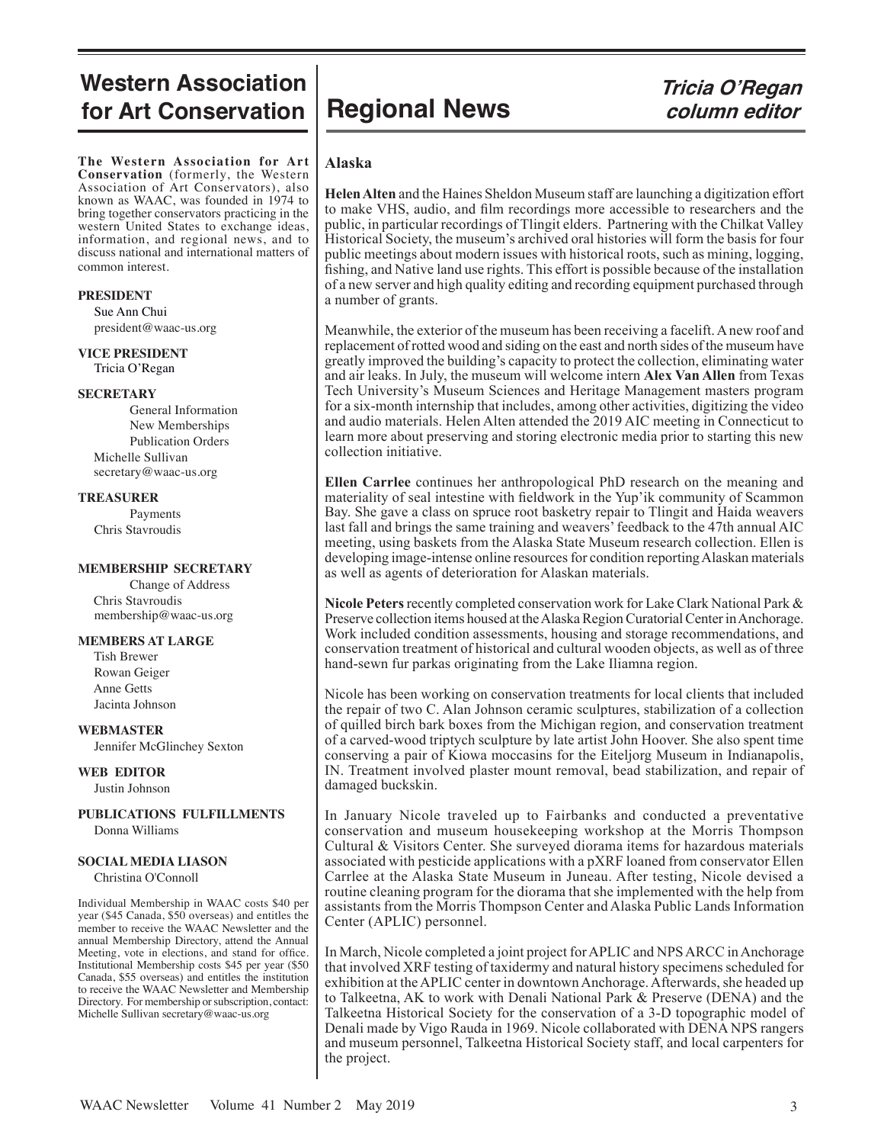## **Western Association** Western Association |<br>for Art Conservation Regional News *Tricia O'Regan*

**The Western Association for Art Conservation** (formerly, the Western Association of Art Conservators), also known as WAAC, was founded in 1974 to bring together conservators practicing in the western United States to exchange ideas, information, and regional news, and to discuss national and international matters of common interest.

#### **PRESIDENT**

 Sue Ann Chui president@waac-us.org

**VICE PRESIDENT** Tricia O'Regan

#### **SECRETARY**

General Information New Memberships Publication Orders Michelle Sullivan secretary@waac-us.org

#### **TREASURER**

Payments Chris Stavroudis

#### **MEMBERSHIP SECRETARY**

Change of Address Chris Stavroudis membership@waac-us.org

#### **MEMBERS AT LARGE**

 Tish Brewer Rowan Geiger Anne Getts Jacinta Johnson

#### **WEBMASTER**

Jennifer McGlinchey Sexton

#### **WEB EDITOR**

Justin Johnson

#### **PUBLICATIONS FULFILLMENTS** Donna Williams

#### **SOCIAL MEDIA LIASON**

Christina O'Connoll

Individual Membership in WAAC costs \$40 per year (\$45 Canada, \$50 overseas) and entitles the member to receive the WAAC Newsletter and the annual Membership Directory, attend the Annual Meeting, vote in elections, and stand for office. Institutional Membership costs \$45 per year (\$50 Canada, \$55 overseas) and entitles the institution to receive the WAAC Newsletter and Membership Directory. For membership or subscription, contact: Michelle Sullivan secretary@waac-us.org

# **column editor**

#### **Alaska**

**Helen Alten** and the Haines Sheldon Museum staff are launching a digitization effort to make VHS, audio, and film recordings more accessible to researchers and the public, in particular recordings of Tlingit elders. Partnering with the Chilkat Valley Historical Society, the museum's archived oral histories will form the basis for four public meetings about modern issues with historical roots, such as mining, logging, fishing, and Native land use rights. This effort is possible because of the installation of a new server and high quality editing and recording equipment purchased through a number of grants.

Meanwhile, the exterior of the museum has been receiving a facelift. A new roof and replacement of rotted wood and siding on the east and north sides of the museum have greatly improved the building's capacity to protect the collection, eliminating water and air leaks. In July, the museum will welcome intern **Alex Van Allen** from Texas Tech University's Museum Sciences and Heritage Management masters program for a six-month internship that includes, among other activities, digitizing the video and audio materials. Helen Alten attended the 2019 AIC meeting in Connecticut to learn more about preserving and storing electronic media prior to starting this new collection initiative.

**Ellen Carrlee** continues her anthropological PhD research on the meaning and materiality of seal intestine with fieldwork in the Yup'ik community of Scammon Bay. She gave a class on spruce root basketry repair to Tlingit and Haida weavers last fall and brings the same training and weavers' feedback to the 47th annual AIC meeting, using baskets from the Alaska State Museum research collection. Ellen is developing image-intense online resources for condition reporting Alaskan materials as well as agents of deterioration for Alaskan materials.

**Nicole Peters** recently completed conservation work for Lake Clark National Park & Preserve collection items housed at the Alaska Region Curatorial Center in Anchorage. Work included condition assessments, housing and storage recommendations, and conservation treatment of historical and cultural wooden objects, as well as of three hand-sewn fur parkas originating from the Lake Iliamna region.

Nicole has been working on conservation treatments for local clients that included the repair of two C. Alan Johnson ceramic sculptures, stabilization of a collection of quilled birch bark boxes from the Michigan region, and conservation treatment of a carved-wood triptych sculpture by late artist John Hoover. She also spent time conserving a pair of Kiowa moccasins for the Eiteljorg Museum in Indianapolis, IN. Treatment involved plaster mount removal, bead stabilization, and repair of damaged buckskin.

In January Nicole traveled up to Fairbanks and conducted a preventative conservation and museum housekeeping workshop at the Morris Thompson Cultural & Visitors Center. She surveyed diorama items for hazardous materials associated with pesticide applications with a pXRF loaned from conservator Ellen Carrlee at the Alaska State Museum in Juneau. After testing, Nicole devised a routine cleaning program for the diorama that she implemented with the help from assistants from the Morris Thompson Center and Alaska Public Lands Information Center (APLIC) personnel.

In March, Nicole completed a joint project for APLIC and NPS ARCC in Anchorage that involved XRF testing of taxidermy and natural history specimens scheduled for exhibition at the APLIC center in downtown Anchorage. Afterwards, she headed up to Talkeetna, AK to work with Denali National Park & Preserve (DENA) and the Talkeetna Historical Society for the conservation of a 3-D topographic model of Denali made by Vigo Rauda in 1969. Nicole collaborated with DENA NPS rangers and museum personnel, Talkeetna Historical Society staff, and local carpenters for the project.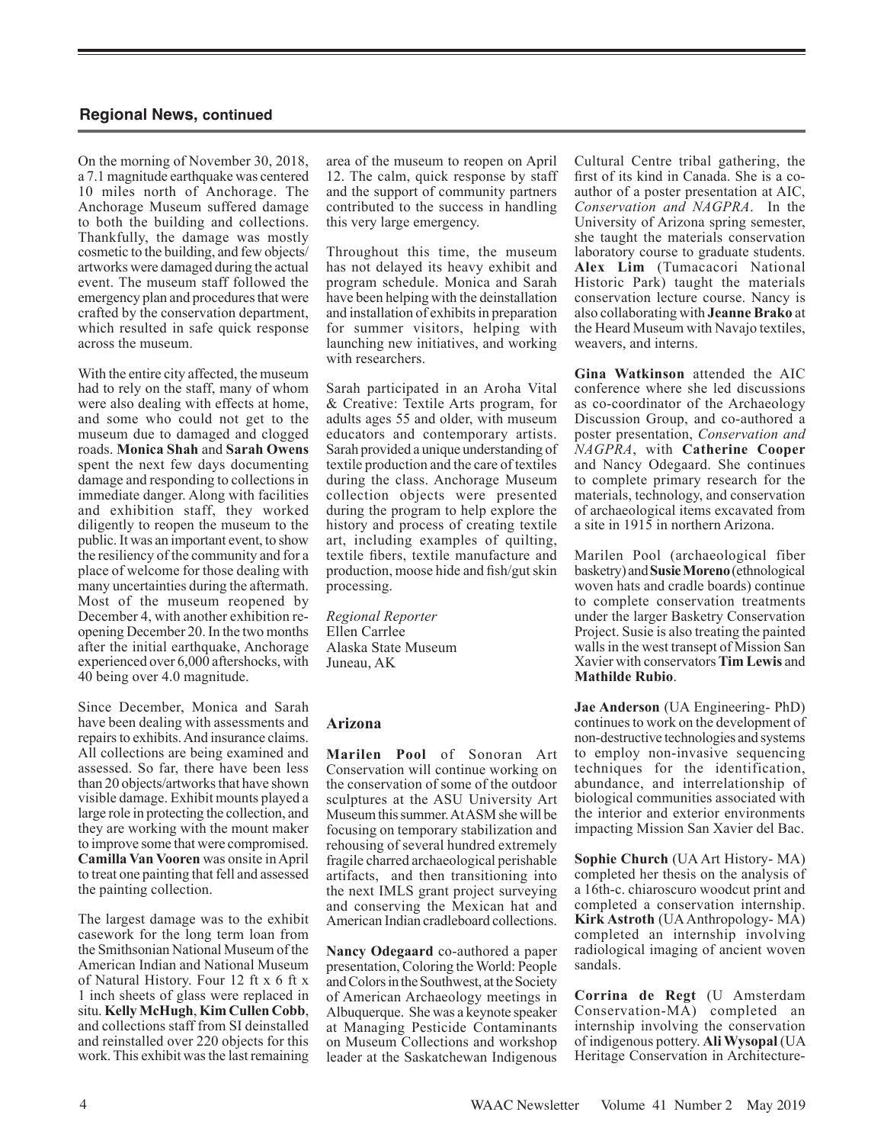On the morning of November 30, 2018, a 7.1 magnitude earthquake was centered 10 miles north of Anchorage. The Anchorage Museum suffered damage to both the building and collections. Thankfully, the damage was mostly cosmetic to the building, and few objects/ artworks were damaged during the actual event. The museum staff followed the emergency plan and procedures that were crafted by the conservation department, which resulted in safe quick response across the museum.

With the entire city affected, the museum had to rely on the staff, many of whom were also dealing with effects at home, and some who could not get to the museum due to damaged and clogged roads. **Monica Shah** and **Sarah Owens**  spent the next few days documenting damage and responding to collections in immediate danger. Along with facilities and exhibition staff, they worked diligently to reopen the museum to the public. It was an important event, to show the resiliency of the community and for a place of welcome for those dealing with many uncertainties during the aftermath. Most of the museum reopened by December 4, with another exhibition reopening December 20. In the two months after the initial earthquake, Anchorage experienced over 6,000 aftershocks, with 40 being over 4.0 magnitude.

Since December, Monica and Sarah have been dealing with assessments and repairs to exhibits. And insurance claims. All collections are being examined and assessed. So far, there have been less than 20 objects/artworks that have shown visible damage. Exhibit mounts played a large role in protecting the collection, and they are working with the mount maker to improve some that were compromised. **Camilla Van Vooren** was onsite in April to treat one painting that fell and assessed the painting collection.

The largest damage was to the exhibit casework for the long term loan from the Smithsonian National Museum of the American Indian and National Museum of Natural History. Four 12 ft x 6 ft x 1 inch sheets of glass were replaced in situ. **Kelly McHugh**, **Kim Cullen Cobb**, and collections staff from SI deinstalled and reinstalled over 220 objects for this work. This exhibit was the last remaining

area of the museum to reopen on April 12. The calm, quick response by staff and the support of community partners contributed to the success in handling this very large emergency.

Throughout this time, the museum has not delayed its heavy exhibit and program schedule. Monica and Sarah have been helping with the deinstallation and installation of exhibits in preparation for summer visitors, helping with launching new initiatives, and working with researchers.

Sarah participated in an Aroha Vital & Creative: Textile Arts program, for adults ages 55 and older, with museum educators and contemporary artists. Sarah provided a unique understanding of textile production and the care of textiles during the class. Anchorage Museum collection objects were presented during the program to help explore the history and process of creating textile art, including examples of quilting, textile fibers, textile manufacture and production, moose hide and fish/gut skin processing.

*Regional Reporter* Ellen Carrlee Alaska State Museum Juneau, AK

#### **Arizona**

**Marilen Pool** of Sonoran Art Conservation will continue working on the conservation of some of the outdoor sculptures at the ASU University Art Museum this summer. At ASM she will be focusing on temporary stabilization and rehousing of several hundred extremely fragile charred archaeological perishable artifacts, and then transitioning into the next IMLS grant project surveying and conserving the Mexican hat and American Indian cradleboard collections.

**Nancy Odegaard** co-authored a paper presentation, Coloring the World: People and Colors in the Southwest, at the Society of American Archaeology meetings in Albuquerque. She was a keynote speaker at Managing Pesticide Contaminants on Museum Collections and workshop leader at the Saskatchewan Indigenous

Cultural Centre tribal gathering, the first of its kind in Canada. She is a coauthor of a poster presentation at AIC, *Conservation and NAGPRA*. In the University of Arizona spring semester, she taught the materials conservation laboratory course to graduate students. **Alex Lim** (Tumacacori National Historic Park) taught the materials conservation lecture course. Nancy is also collaborating with **Jeanne Brako** at the Heard Museum with Navajo textiles, weavers, and interns.

**Gina Watkinson** attended the AIC conference where she led discussions as co-coordinator of the Archaeology Discussion Group, and co-authored a poster presentation, *Conservation and NAGPRA*, with **Catherine Cooper** and Nancy Odegaard. She continues to complete primary research for the materials, technology, and conservation of archaeological items excavated from a site in 1915 in northern Arizona.

Marilen Pool (archaeological fiber basketry) and **Susie Moreno**(ethnological woven hats and cradle boards) continue to complete conservation treatments under the larger Basketry Conservation Project. Susie is also treating the painted walls in the west transept of Mission San Xavier with conservators **Tim Lewis** and **Mathilde Rubio**.

**Jae Anderson** (UA Engineering- PhD) continues to work on the development of non-destructive technologies and systems to employ non-invasive sequencing techniques for the identification, abundance, and interrelationship of biological communities associated with the interior and exterior environments impacting Mission San Xavier del Bac.

**Sophie Church** (UA Art History- MA) completed her thesis on the analysis of a 16th-c. chiaroscuro woodcut print and completed a conservation internship. **Kirk Astroth** (UA Anthropology- MA) completed an internship involving radiological imaging of ancient woven sandals.

**Corrina de Regt** (U Amsterdam Conservation-MA) completed an internship involving the conservation of indigenous pottery. **Ali Wysopal** (UA Heritage Conservation in Architecture-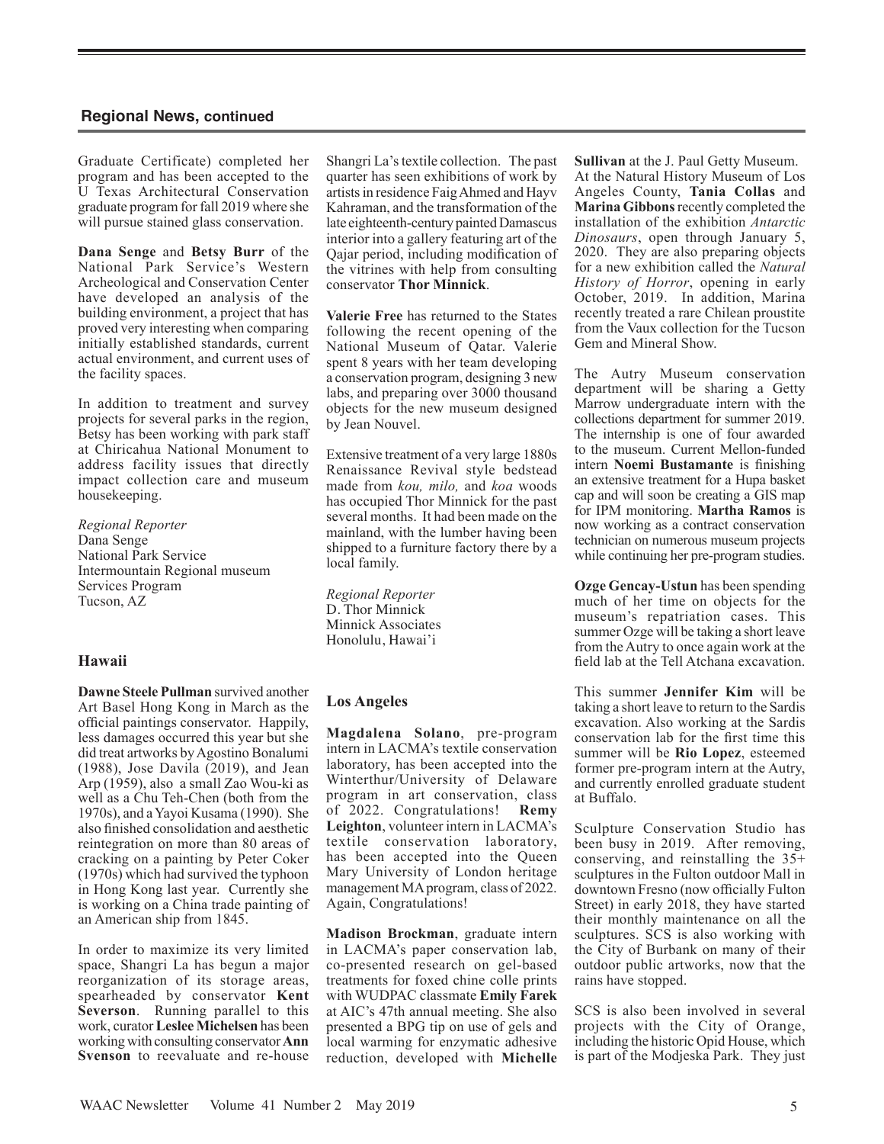Graduate Certificate) completed her program and has been accepted to the U Texas Architectural Conservation graduate program for fall 2019 where she will pursue stained glass conservation.

**Dana Senge** and **Betsy Burr** of the National Park Service's Western Archeological and Conservation Center have developed an analysis of the building environment, a project that has proved very interesting when comparing initially established standards, current actual environment, and current uses of the facility spaces.

In addition to treatment and survey projects for several parks in the region, Betsy has been working with park staff at Chiricahua National Monument to address facility issues that directly impact collection care and museum housekeeping.

*Regional Reporter*  Dana Senge National Park Service Intermountain Regional museum Services Program Tucson, AZ

#### **Hawaii**

**Dawne Steele Pullman** survived another Art Basel Hong Kong in March as the official paintings conservator. Happily, less damages occurred this year but she did treat artworks by Agostino Bonalumi (1988), Jose Davila (2019), and Jean Arp (1959), also a small Zao Wou-ki as well as a Chu Teh-Chen (both from the 1970s), and a Yayoi Kusama (1990). She also finished consolidation and aesthetic reintegration on more than 80 areas of cracking on a painting by Peter Coker (1970s) which had survived the typhoon in Hong Kong last year. Currently she is working on a China trade painting of an American ship from 1845.

In order to maximize its very limited space, Shangri La has begun a major reorganization of its storage areas, spearheaded by conservator **Kent Severson**. Running parallel to this work, curator**Leslee Michelsen** has been working with consulting conservator**Ann Svenson** to reevaluate and re-house

Shangri La's textile collection. The past quarter has seen exhibitions of work by artists in residence Faig Ahmed and Hayv Kahraman, and the transformation of the late eighteenth-century painted Damascus interior into a gallery featuring art of the Qajar period, including modification of the vitrines with help from consulting conservator **Thor Minnick**.

**Valerie Free** has returned to the States following the recent opening of the National Museum of Qatar. Valerie spent 8 years with her team developing a conservation program, designing 3 new labs, and preparing over 3000 thousand objects for the new museum designed by Jean Nouvel.

Extensive treatment of a very large 1880s Renaissance Revival style bedstead made from *kou, milo,* and *koa* woods has occupied Thor Minnick for the past several months. It had been made on the mainland, with the lumber having been shipped to a furniture factory there by a local family.

*Regional Reporter* D. Thor Minnick Minnick Associates Honolulu, Hawai'i

#### **Los Angeles**

**Magdalena Solano**, pre-program intern in LACMA's textile conservation laboratory, has been accepted into the Winterthur/University of Delaware program in art conservation, class of 2022. Congratulations! **Remy Leighton**, volunteer intern in LACMA's textile conservation laboratory, has been accepted into the Queen Mary University of London heritage management MA program, class of 2022. Again, Congratulations!

**Madison Brockman**, graduate intern in LACMA's paper conservation lab, co-presented research on gel-based treatments for foxed chine colle prints with WUDPAC classmate **Emily Farek** at AIC's 47th annual meeting. She also presented a BPG tip on use of gels and local warming for enzymatic adhesive reduction, developed with **Michelle**  **Sullivan** at the J. Paul Getty Museum. At the Natural History Museum of Los Angeles County, **Tania Collas** and **Marina Gibbons** recently completed the installation of the exhibition *Antarctic Dinosaurs*, open through January 5, 2020. They are also preparing objects for a new exhibition called the *Natural History of Horror*, opening in early October, 2019. In addition, Marina recently treated a rare Chilean proustite from the Vaux collection for the Tucson Gem and Mineral Show.

The Autry Museum conservation department will be sharing a Getty Marrow undergraduate intern with the collections department for summer 2019. The internship is one of four awarded to the museum. Current Mellon-funded intern **Noemi Bustamante** is finishing an extensive treatment for a Hupa basket cap and will soon be creating a GIS map for IPM monitoring. **Martha Ramos** is now working as a contract conservation technician on numerous museum projects while continuing her pre-program studies.

**Ozge Gencay-Ustun** has been spending much of her time on objects for the museum's repatriation cases. This summer Ozge will be taking a short leave from the Autry to once again work at the field lab at the Tell Atchana excavation.

This summer **Jennifer Kim** will be taking a short leave to return to the Sardis excavation. Also working at the Sardis conservation lab for the first time this summer will be **Rio Lopez**, esteemed former pre-program intern at the Autry, and currently enrolled graduate student at Buffalo.

Sculpture Conservation Studio has been busy in 2019. After removing, conserving, and reinstalling the 35+ sculptures in the Fulton outdoor Mall in downtown Fresno (now officially Fulton Street) in early 2018, they have started their monthly maintenance on all the sculptures. SCS is also working with the City of Burbank on many of their outdoor public artworks, now that the rains have stopped.

SCS is also been involved in several projects with the City of Orange, including the historic Opid House, which is part of the Modjeska Park. They just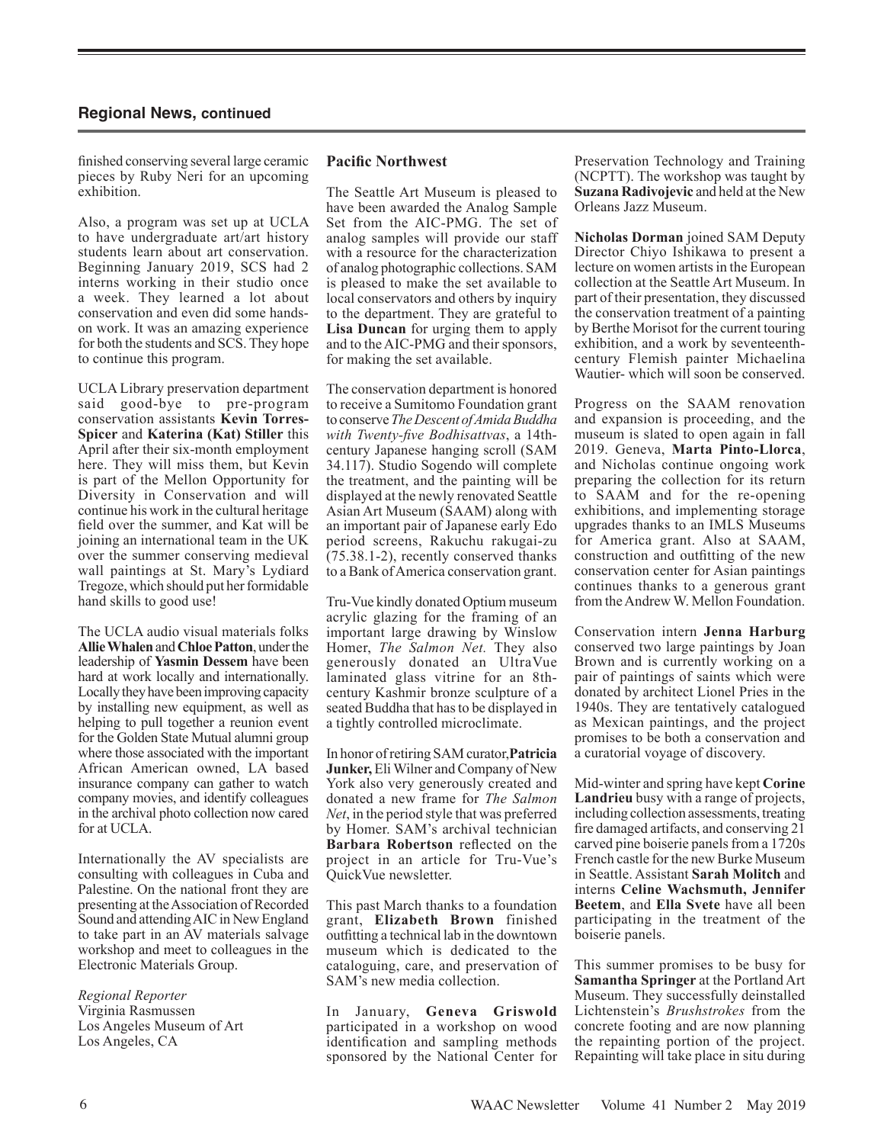finished conserving several large ceramic pieces by Ruby Neri for an upcoming exhibition.

Also, a program was set up at UCLA to have undergraduate art/art history students learn about art conservation. Beginning January 2019, SCS had 2 interns working in their studio once a week. They learned a lot about conservation and even did some handson work. It was an amazing experience for both the students and SCS. They hope to continue this program.

UCLA Library preservation department said good-bye to pre-program conservation assistants **Kevin Torres-Spicer** and **Katerina (Kat) Stiller** this April after their six-month employment here. They will miss them, but Kevin is part of the Mellon Opportunity for Diversity in Conservation and will continue his work in the cultural heritage field over the summer, and Kat will be joining an international team in the UK over the summer conserving medieval wall paintings at St. Mary's Lydiard Tregoze, which should put her formidable hand skills to good use!

The UCLA audio visual materials folks **Allie Whalen** and **Chloe Patton**, under the leadership of **Yasmin Dessem** have been hard at work locally and internationally. Locally they have been improving capacity by installing new equipment, as well as helping to pull together a reunion event for the Golden State Mutual alumni group where those associated with the important African American owned, LA based insurance company can gather to watch company movies, and identify colleagues in the archival photo collection now cared for at UCLA.

Internationally the AV specialists are consulting with colleagues in Cuba and Palestine. On the national front they are presenting at the Association of Recorded Sound and attending AIC in New England to take part in an AV materials salvage workshop and meet to colleagues in the Electronic Materials Group.

*Regional Reporter*  Virginia Rasmussen Los Angeles Museum of Art Los Angeles, CA

#### **Pacific Northwest**

The Seattle Art Museum is pleased to have been awarded the Analog Sample Set from the AIC-PMG. The set of analog samples will provide our staff with a resource for the characterization of analog photographic collections. SAM is pleased to make the set available to local conservators and others by inquiry to the department. They are grateful to **Lisa Duncan** for urging them to apply and to the AIC-PMG and their sponsors, for making the set available.

The conservation department is honored to receive a Sumitomo Foundation grant to conserve *The Descent of Amida Buddha with Twenty-five Bodhisattvas*, a 14thcentury Japanese hanging scroll (SAM 34.117). Studio Sogendo will complete the treatment, and the painting will be displayed at the newly renovated Seattle Asian Art Museum (SAAM) along with an important pair of Japanese early Edo period screens, Rakuchu rakugai-zu (75.38.1-2), recently conserved thanks to a Bank of America conservation grant.

Tru-Vue kindly donated Optium museum acrylic glazing for the framing of an important large drawing by Winslow Homer, *The Salmon Net.* They also generously donated an UltraVue laminated glass vitrine for an 8thcentury Kashmir bronze sculpture of a seated Buddha that has to be displayed in a tightly controlled microclimate.

In honor of retiring SAM curator,**Patricia Junker,** Eli Wilner and Company of New York also very generously created and donated a new frame for *The Salmon Net*, in the period style that was preferred by Homer. SAM's archival technician **Barbara Robertson** reflected on the project in an article for Tru-Vue's QuickVue newsletter.

This past March thanks to a foundation grant, **Elizabeth Brown** finished outfitting a technical lab in the downtown museum which is dedicated to the cataloguing, care, and preservation of SAM's new media collection.

In January, **Geneva Griswold** participated in a workshop on wood identification and sampling methods sponsored by the National Center for

Preservation Technology and Training (NCPTT). The workshop was taught by **Suzana Radivojevic** and held at the New Orleans Jazz Museum.

**Nicholas Dorman** joined SAM Deputy Director Chiyo Ishikawa to present a lecture on women artists in the European collection at the Seattle Art Museum. In part of their presentation, they discussed the conservation treatment of a painting by Berthe Morisot for the current touring exhibition, and a work by seventeenthcentury Flemish painter Michaelina Wautier- which will soon be conserved.

Progress on the SAAM renovation and expansion is proceeding, and the museum is slated to open again in fall 2019. Geneva, **Marta Pinto-Llorca**, and Nicholas continue ongoing work preparing the collection for its return to SAAM and for the re-opening exhibitions, and implementing storage upgrades thanks to an IMLS Museums for America grant. Also at SAAM, construction and outfitting of the new conservation center for Asian paintings continues thanks to a generous grant from the Andrew W. Mellon Foundation.

Conservation intern **Jenna Harburg**  conserved two large paintings by Joan Brown and is currently working on a pair of paintings of saints which were donated by architect Lionel Pries in the 1940s. They are tentatively catalogued as Mexican paintings, and the project promises to be both a conservation and a curatorial voyage of discovery.

Mid-winter and spring have kept **Corine Landrieu** busy with a range of projects, including collection assessments, treating fire damaged artifacts, and conserving 21 carved pine boiserie panels from a 1720s French castle for the new Burke Museum in Seattle. Assistant **Sarah Molitch** and interns **Celine Wachsmuth, Jennifer Beetem**, and **Ella Svete** have all been participating in the treatment of the boiserie panels.

This summer promises to be busy for **Samantha Springer** at the Portland Art Museum. They successfully deinstalled Lichtenstein's *Brushstrokes* from the concrete footing and are now planning the repainting portion of the project. Repainting will take place in situ during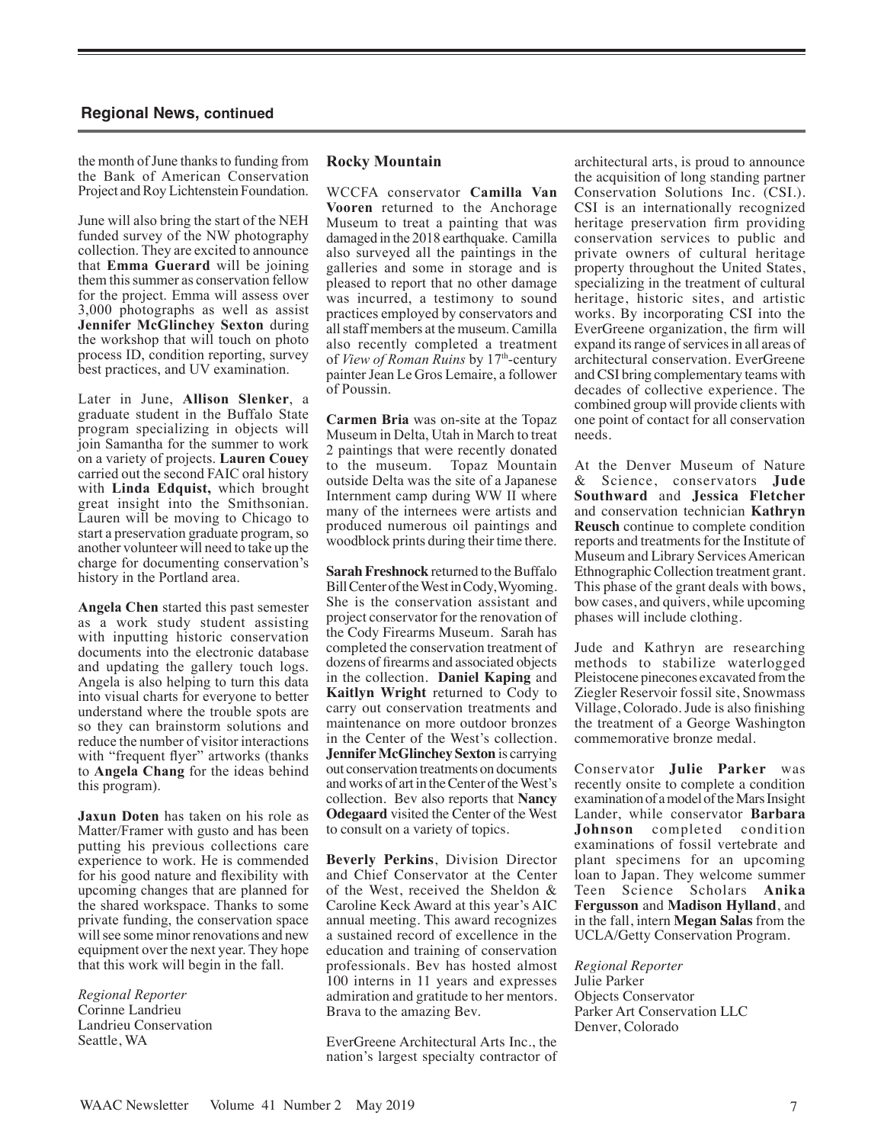the month of June thanks to funding from the Bank of American Conservation Project and Roy Lichtenstein Foundation.

June will also bring the start of the NEH funded survey of the NW photography collection. They are excited to announce that **Emma Guerard** will be joining them this summer as conservation fellow for the project. Emma will assess over 3,000 photographs as well as assist **Jennifer McGlinchey Sexton** during the workshop that will touch on photo process ID, condition reporting, survey best practices, and UV examination.

Later in June, **Allison Slenker**, a graduate student in the Buffalo State program specializing in objects will join Samantha for the summer to work on a variety of projects. **Lauren Couey**  carried out the second FAIC oral history with **Linda Edquist,** which brought great insight into the Smithsonian. Lauren will be moving to Chicago to start a preservation graduate program, so another volunteer will need to take up the charge for documenting conservation's history in the Portland area.

**Angela Chen** started this past semester as a work study student assisting with inputting historic conservation documents into the electronic database and updating the gallery touch logs. Angela is also helping to turn this data into visual charts for everyone to better understand where the trouble spots are so they can brainstorm solutions and reduce the number of visitor interactions with "frequent flyer" artworks (thanks) to **Angela Chang** for the ideas behind this program).

**Jaxun Doten** has taken on his role as Matter/Framer with gusto and has been putting his previous collections care experience to work. He is commended for his good nature and flexibility with upcoming changes that are planned for the shared workspace. Thanks to some private funding, the conservation space will see some minor renovations and new equipment over the next year. They hope that this work will begin in the fall.

*Regional Reporter*  Corinne Landrieu Landrieu Conservation Seattle, WA

#### **Rocky Mountain**

WCCFA conservator **Camilla Van Vooren** returned to the Anchorage Museum to treat a painting that was damaged in the 2018 earthquake. Camilla also surveyed all the paintings in the galleries and some in storage and is pleased to report that no other damage was incurred, a testimony to sound practices employed by conservators and all staff members at the museum. Camilla also recently completed a treatment of *View of Roman Ruins* by 17<sup>th</sup>-century painter Jean Le Gros Lemaire, a follower of Poussin.

**Carmen Bria** was on-site at the Topaz Museum in Delta, Utah in March to treat 2 paintings that were recently donated to the museum. Topaz Mountain outside Delta was the site of a Japanese Internment camp during WW II where many of the internees were artists and produced numerous oil paintings and woodblock prints during their time there.

**Sarah Freshnock** returned to the Buffalo Bill Center of the West in Cody, Wyoming. She is the conservation assistant and project conservator for the renovation of the Cody Firearms Museum. Sarah has completed the conservation treatment of dozens of firearms and associated objects in the collection. **Daniel Kaping** and **Kaitlyn Wright** returned to Cody to carry out conservation treatments and maintenance on more outdoor bronzes in the Center of the West's collection. **Jennifer McGlinchey Sexton** is carrying out conservation treatments on documents and works of art in the Center of the West's collection. Bev also reports that **Nancy Odegaard** visited the Center of the West to consult on a variety of topics.

**Beverly Perkins**, Division Director and Chief Conservator at the Center of the West, received the Sheldon & Caroline Keck Award at this year's AIC annual meeting. This award recognizes a sustained record of excellence in the education and training of conservation professionals. Bev has hosted almost 100 interns in 11 years and expresses admiration and gratitude to her mentors. Brava to the amazing Bev.

EverGreene Architectural Arts Inc., the nation's largest specialty contractor of architectural arts, is proud to announce the acquisition of long standing partner Conservation Solutions Inc. (CSI.). CSI is an internationally recognized heritage preservation firm providing conservation services to public and private owners of cultural heritage property throughout the United States, specializing in the treatment of cultural heritage, historic sites, and artistic works. By incorporating CSI into the EverGreene organization, the firm will expand its range of services in all areas of architectural conservation. EverGreene and CSI bring complementary teams with decades of collective experience. The combined group will provide clients with one point of contact for all conservation needs.

At the Denver Museum of Nature & Science, conservators **Jude Southward** and **Jessica Fletcher** and conservation technician **Kathryn Reusch** continue to complete condition reports and treatments for the Institute of Museum and Library Services American Ethnographic Collection treatment grant. This phase of the grant deals with bows, bow cases, and quivers, while upcoming phases will include clothing.

Jude and Kathryn are researching methods to stabilize waterlogged Pleistocene pinecones excavated from the Ziegler Reservoir fossil site, Snowmass Village, Colorado. Jude is also finishing the treatment of a George Washington commemorative bronze medal.

Conservator **Julie Parker** was recently onsite to complete a condition examination of a model of the Mars Insight Lander, while conservator **Barbara Johnson** completed condition examinations of fossil vertebrate and plant specimens for an upcoming loan to Japan. They welcome summer Teen Science Scholars **Anika Fergusson** and **Madison Hylland**, and in the fall, intern **Megan Salas** from the UCLA/Getty Conservation Program.

*Regional Reporter*  Julie Parker Objects Conservator Parker Art Conservation LLC Denver, Colorado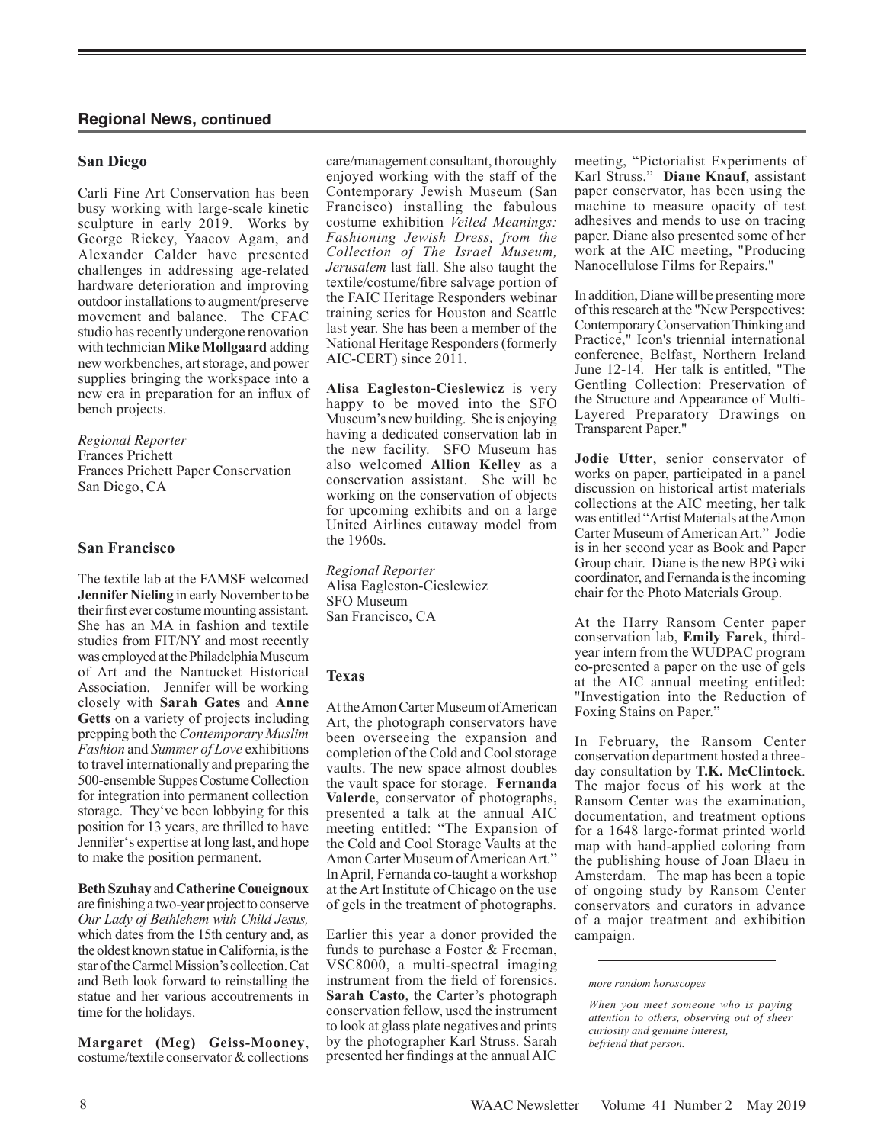#### **San Diego**

Carli Fine Art Conservation has been busy working with large-scale kinetic sculpture in early 2019. Works by George Rickey, Yaacov Agam, and Alexander Calder have presented challenges in addressing age-related hardware deterioration and improving outdoor installations to augment/preserve movement and balance. The CFAC studio has recently undergone renovation with technician **Mike Mollgaard** adding new workbenches, art storage, and power supplies bringing the workspace into a new era in preparation for an influx of bench projects.

#### *Regional Reporter*

Frances Prichett Frances Prichett Paper Conservation San Diego, CA

#### **San Francisco**

The textile lab at the FAMSF welcomed **Jennifer Nieling** in early November to be their first ever costume mounting assistant. She has an MA in fashion and textile studies from FIT/NY and most recently was employed at the Philadelphia Museum of Art and the Nantucket Historical Association. Jennifer will be working closely with **Sarah Gates** and **Anne Getts** on a variety of projects including prepping both the *Contemporary Muslim Fashion* and *Summer of Love* exhibitions to travel internationally and preparing the 500-ensemble Suppes Costume Collection for integration into permanent collection storage. They've been lobbying for this position for 13 years, are thrilled to have Jennifer's expertise at long last, and hope to make the position permanent.

#### **Beth Szuhay** and **Catherine Coueignoux**

are finishing a two-year project to conserve *Our Lady of Bethlehem with Child Jesus,* which dates from the 15th century and, as the oldest known statue in California, is the star of the Carmel Mission's collection. Cat and Beth look forward to reinstalling the statue and her various accoutrements in time for the holidays.

**Margaret (Meg) Geiss-Mooney**, costume/textile conservator & collections care/management consultant, thoroughly enjoyed working with the staff of the Contemporary Jewish Museum (San Francisco) installing the fabulous costume exhibition *Veiled Meanings: Fashioning Jewish Dress, from the Collection of The Israel Museum, Jerusalem* last fall. She also taught the textile/costume/fibre salvage portion of the FAIC Heritage Responders webinar training series for Houston and Seattle last year. She has been a member of the National Heritage Responders (formerly AIC-CERT) since 2011.

**Alisa Eagleston-Cieslewicz** is very happy to be moved into the SFO Museum's new building. She is enjoying having a dedicated conservation lab in the new facility. SFO Museum has also welcomed **Allion Kelley** as a conservation assistant. She will be working on the conservation of objects for upcoming exhibits and on a large United Airlines cutaway model from the 1960s.

*Regional Reporter*  Alisa Eagleston-Cieslewicz SFO Museum San Francisco, CA

#### **Texas**

At the Amon Carter Museum of American Art, the photograph conservators have been overseeing the expansion and completion of the Cold and Cool storage vaults. The new space almost doubles the vault space for storage. **Fernanda Valerde**, conservator of photographs, presented a talk at the annual AIC meeting entitled: "The Expansion of the Cold and Cool Storage Vaults at the Amon Carter Museum of American Art." In April, Fernanda co-taught a workshop at the Art Institute of Chicago on the use of gels in the treatment of photographs.

Earlier this year a donor provided the funds to purchase a Foster & Freeman, VSC8000, a multi-spectral imaging instrument from the field of forensics. **Sarah Casto**, the Carter's photograph conservation fellow, used the instrument to look at glass plate negatives and prints by the photographer Karl Struss. Sarah presented her findings at the annual AIC meeting, "Pictorialist Experiments of Karl Struss." **Diane Knauf**, assistant paper conservator, has been using the machine to measure opacity of test adhesives and mends to use on tracing paper. Diane also presented some of her work at the AIC meeting, "Producing Nanocellulose Films for Repairs."

In addition, Diane will be presenting more of this research at the "New Perspectives: Contemporary Conservation Thinking and Practice," Icon's triennial international conference, Belfast, Northern Ireland June 12-14. Her talk is entitled, "The Gentling Collection: Preservation of the Structure and Appearance of Multi-Layered Preparatory Drawings on Transparent Paper."

**Jodie Utter**, senior conservator of works on paper, participated in a panel discussion on historical artist materials collections at the AIC meeting, her talk was entitled "Artist Materials at the Amon Carter Museum of American Art." Jodie is in her second year as Book and Paper Group chair. Diane is the new BPG wiki coordinator, and Fernanda is the incoming chair for the Photo Materials Group.

At the Harry Ransom Center paper conservation lab, **Emily Farek**, thirdyear intern from the WUDPAC program co-presented a paper on the use of gels at the AIC annual meeting entitled: "Investigation into the Reduction of Foxing Stains on Paper."

In February, the Ransom Center conservation department hosted a threeday consultation by **T.K. McClintock**. The major focus of his work at the Ransom Center was the examination, documentation, and treatment options for a 1648 large-format printed world map with hand-applied coloring from the publishing house of Joan Blaeu in Amsterdam. The map has been a topic of ongoing study by Ransom Center conservators and curators in advance of a major treatment and exhibition campaign.

*more random horoscopes*

*When you meet someone who is paying attention to others, observing out of sheer curiosity and genuine interest, befriend that person.*